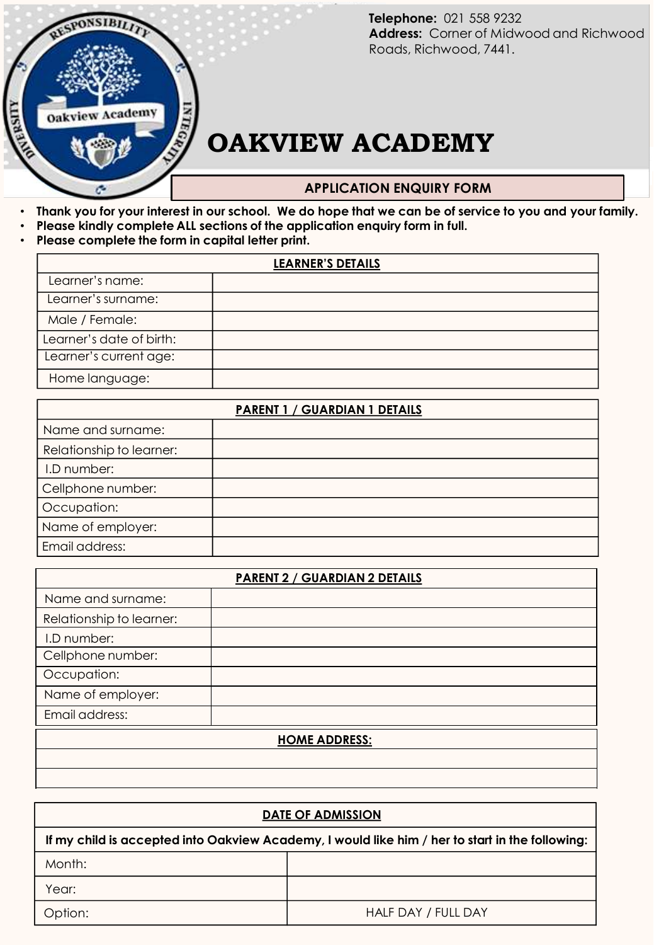

Telephone: 021 558 9232<br>**Address:** Corner of Midwood and<br>**Pearls** Pickwased 3441 **Address:** Corner of Midwood and Richwood<br>Roads, Richwood, 7441. **Telephone:** 021 558 9232 Roads, Richwood, 7441.

## **TELEPHONEW ACADEMY**

## **APPLICATION ENQUIRY FORM**

- **Thank you for your interest in our school. We do hope that we can be of service to you and your family.**
- **Please kindly complete ALL sections of the application enquiry form in full.**
- **Please complete the form in capital letter print.**

| LEARNER'S DETAILS        |  |  |
|--------------------------|--|--|
| Learner's name:          |  |  |
| Learner's surname:       |  |  |
| Male / Female:           |  |  |
| Learner's date of birth: |  |  |
| Learner's current age:   |  |  |
| Home language:           |  |  |

| PARENT 1 / GUARDIAN 1 DETAILS |  |  |
|-------------------------------|--|--|
| Name and surname:             |  |  |
| Relationship to learner:      |  |  |
| I.D number:                   |  |  |
| Cellphone number:             |  |  |
| Occupation:                   |  |  |
| Name of employer:             |  |  |
| Email address:                |  |  |

| <b>PARENT 2 / GUARDIAN 2 DETAILS</b> |  |  |
|--------------------------------------|--|--|
| Name and surname:                    |  |  |
| Relationship to learner:             |  |  |
| I.D number:                          |  |  |
| Cellphone number:                    |  |  |
| Occupation:                          |  |  |
| Name of employer:                    |  |  |
| Email address:                       |  |  |
| <b>HOME ADDRESS:</b>                 |  |  |
|                                      |  |  |
|                                      |  |  |

| <b>DATE OF ADMISSION</b>                                                                        |                     |  |  |  |
|-------------------------------------------------------------------------------------------------|---------------------|--|--|--|
| If my child is accepted into Oakview Academy, I would like him / her to start in the following: |                     |  |  |  |
| Month:                                                                                          |                     |  |  |  |
| Year:                                                                                           |                     |  |  |  |
| Option:                                                                                         | HALF DAY / FULL DAY |  |  |  |